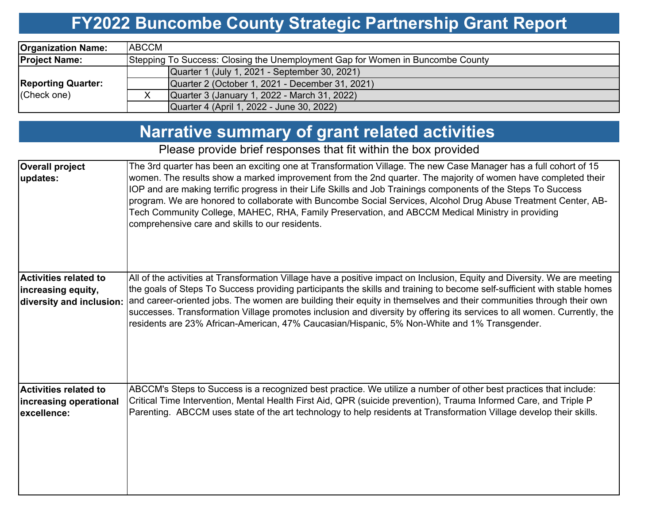# **FY2022 Buncombe County Strategic Partnership Grant Report**

| <b>Organization Name:</b>                | <b>ABCCM</b>                                                                   |
|------------------------------------------|--------------------------------------------------------------------------------|
| <b>Project Name:</b>                     | Stepping To Success: Closing the Unemployment Gap for Women in Buncombe County |
|                                          | Quarter 1 (July 1, 2021 - September 30, 2021)                                  |
| <b>Reporting Quarter:</b><br>(Check one) | Quarter 2 (October 1, 2021 - December 31, 2021)                                |
|                                          | Quarter 3 (January 1, 2022 - March 31, 2022)                                   |
|                                          | Quarter 4 (April 1, 2022 - June 30, 2022)                                      |

# **Narrative summary of grant related activities**

Please provide brief responses that fit within the box provided

| <b>Overall project</b><br>updates:                                             | The 3rd quarter has been an exciting one at Transformation Village. The new Case Manager has a full cohort of 15<br>women. The results show a marked improvement from the 2nd quarter. The majority of women have completed their<br>IOP and are making terrific progress in their Life Skills and Job Trainings components of the Steps To Success<br>program. We are honored to collaborate with Buncombe Social Services, Alcohol Drug Abuse Treatment Center, AB-<br>Tech Community College, MAHEC, RHA, Family Preservation, and ABCCM Medical Ministry in providing<br>comprehensive care and skills to our residents. |
|--------------------------------------------------------------------------------|------------------------------------------------------------------------------------------------------------------------------------------------------------------------------------------------------------------------------------------------------------------------------------------------------------------------------------------------------------------------------------------------------------------------------------------------------------------------------------------------------------------------------------------------------------------------------------------------------------------------------|
| <b>Activities related to</b><br>increasing equity,<br>diversity and inclusion: | All of the activities at Transformation Village have a positive impact on Inclusion, Equity and Diversity. We are meeting<br>the goals of Steps To Success providing participants the skills and training to become self-sufficient with stable homes<br>and career-oriented jobs. The women are building their equity in themselves and their communities through their own<br>successes. Transformation Village promotes inclusion and diversity by offering its services to all women. Currently, the<br>residents are 23% African-American, 47% Caucasian/Hispanic, 5% Non-White and 1% Transgender.                     |
| <b>Activities related to</b><br>increasing operational<br>excellence:          | ABCCM's Steps to Success is a recognized best practice. We utilize a number of other best practices that include:<br>Critical Time Intervention, Mental Health First Aid, QPR (suicide prevention), Trauma Informed Care, and Triple P<br>Parenting. ABCCM uses state of the art technology to help residents at Transformation Village develop their skills.                                                                                                                                                                                                                                                                |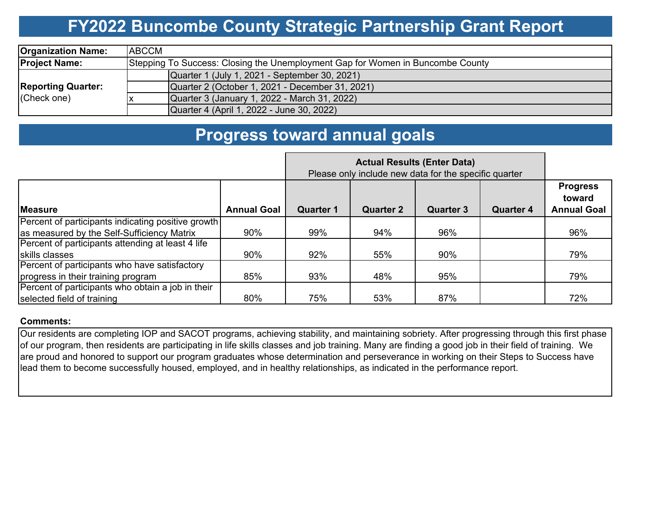### **FY2022 Buncombe County Strategic Partnership Grant Report**

| <b>Organization Name:</b>                | <b>ABCCM</b>                                                                   |  |  |  |  |  |  |  |
|------------------------------------------|--------------------------------------------------------------------------------|--|--|--|--|--|--|--|
| <b>Project Name:</b>                     | Stepping To Success: Closing the Unemployment Gap for Women in Buncombe County |  |  |  |  |  |  |  |
| <b>Reporting Quarter:</b><br>(Check one) | Quarter 1 (July 1, 2021 - September 30, 2021)                                  |  |  |  |  |  |  |  |
|                                          | Quarter 2 (October 1, 2021 - December 31, 2021)                                |  |  |  |  |  |  |  |
|                                          | Quarter 3 (January 1, 2022 - March 31, 2022)                                   |  |  |  |  |  |  |  |
|                                          | Quarter 4 (April 1, 2022 - June 30, 2022)                                      |  |  |  |  |  |  |  |

### **Progress toward annual goals**

|                                                    | Please only include new data for the specific quarter |           |                  |                  |                  |                                                 |
|----------------------------------------------------|-------------------------------------------------------|-----------|------------------|------------------|------------------|-------------------------------------------------|
| <b>Measure</b>                                     | <b>Annual Goal</b>                                    | Quarter 1 | <b>Quarter 2</b> | <b>Quarter 3</b> | <b>Quarter 4</b> | <b>Progress</b><br>toward<br><b>Annual Goal</b> |
| Percent of participants indicating positive growth |                                                       |           |                  |                  |                  |                                                 |
| as measured by the Self-Sufficiency Matrix         | 90%                                                   | 99%       | 94%              | 96%              |                  | 96%                                             |
| Percent of participants attending at least 4 life  |                                                       |           |                  |                  |                  |                                                 |
| skills classes                                     | 90%                                                   | 92%       | 55%              | 90%              |                  | 79%                                             |
| Percent of participants who have satisfactory      |                                                       |           |                  |                  |                  |                                                 |
| progress in their training program                 | 85%                                                   | 93%       | 48%              | 95%              |                  | 79%                                             |
| Percent of participants who obtain a job in their  |                                                       |           |                  |                  |                  |                                                 |
| selected field of training                         | 80%                                                   | 75%       | 53%              | 87%              |                  | 72%                                             |

### **Comments:**

Our residents are completing IOP and SACOT programs, achieving stability, and maintaining sobriety. After progressing through this first phase of our program, then residents are participating in life skills classes and job training. Many are finding a good job in their field of training. We are proud and honored to support our program graduates whose determination and perseverance in working on their Steps to Success have lead them to become successfully housed, employed, and in healthy relationships, as indicated in the performance report.